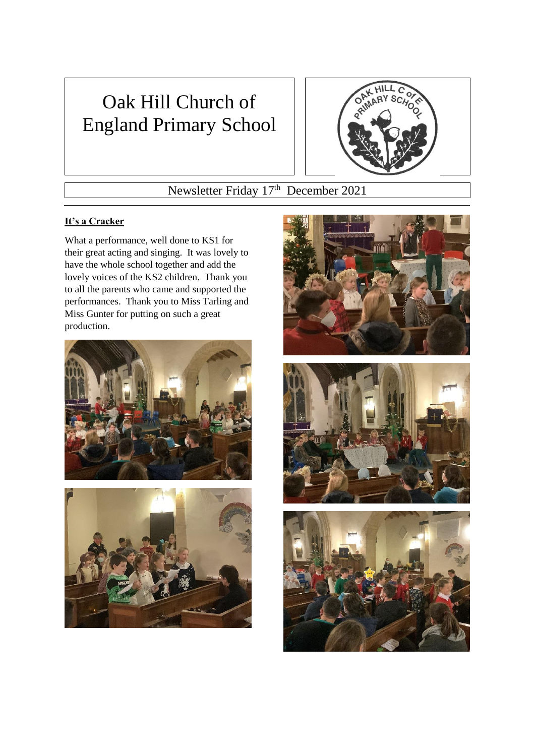# Oak Hill Church of England Primary School



# Newsletter Friday 17<sup>th</sup> December 2021

## **It's a Cracker**

What a performance, well done to KS1 for their great acting and singing. It was lovely to have the whole school together and add the lovely voices of the KS2 children. Thank you to all the parents who came and supported the performances. Thank you to Miss Tarling and Miss Gunter for putting on such a great production.









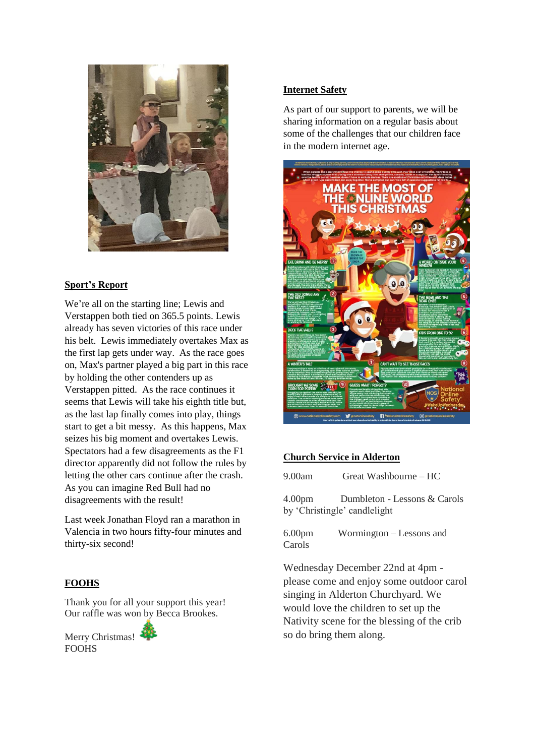

#### **Sport's Report**

We're all on the starting line; Lewis and Verstappen both tied on 365.5 points. Lewis already has seven victories of this race under his belt. Lewis immediately overtakes Max as the first lap gets under way. As the race goes on, Max's partner played a big part in this race by holding the other contenders up as Verstappen pitted. As the race continues it seems that Lewis will take his eighth title but, as the last lap finally comes into play, things start to get a bit messy. As this happens, Max seizes his big moment and overtakes Lewis. Spectators had a few disagreements as the F1 director apparently did not follow the rules by letting the other cars continue after the crash. As you can imagine Red Bull had no disagreements with the result!

Last week Jonathan Floyd ran a marathon in Valencia in two hours fifty-four minutes and thirty-six second!

#### **FOOHS**

Thank you for all your support this year! Our raffle was won by Becca Brookes.

Merry Christmas! **FOOHS** 

#### **Internet Safety**

As part of our support to parents, we will be sharing information on a regular basis about some of the challenges that our children face in the modern internet age.



### **Church Service in Alderton**

9.00am Great Washbourne – HC

4.00pm Dumbleton - Lessons & Carols by 'Christingle' candlelight

6.00pm Wormington – Lessons and Carols

Wednesday December 22nd at 4pm please come and enjoy some outdoor carol singing in Alderton Churchyard. We would love the children to set up the Nativity scene for the blessing of the crib so do bring them along.